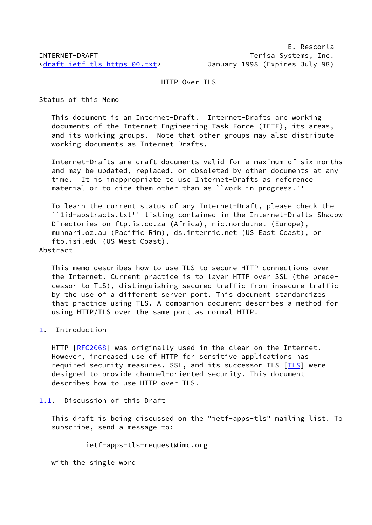HTTP Over TLS

Status of this Memo

 This document is an Internet-Draft. Internet-Drafts are working documents of the Internet Engineering Task Force (IETF), its areas, and its working groups. Note that other groups may also distribute working documents as Internet-Drafts.

 Internet-Drafts are draft documents valid for a maximum of six months and may be updated, replaced, or obsoleted by other documents at any time. It is inappropriate to use Internet-Drafts as reference material or to cite them other than as ``work in progress.''

 To learn the current status of any Internet-Draft, please check the ``1id-abstracts.txt'' listing contained in the Internet-Drafts Shadow Directories on ftp.is.co.za (Africa), nic.nordu.net (Europe), munnari.oz.au (Pacific Rim), ds.internic.net (US East Coast), or ftp.isi.edu (US West Coast).

Abstract

 This memo describes how to use TLS to secure HTTP connections over the Internet. Current practice is to layer HTTP over SSL (the prede cessor to TLS), distinguishing secured traffic from insecure traffic by the use of a different server port. This document standardizes that practice using TLS. A companion document describes a method for using HTTP/TLS over the same port as normal HTTP.

<span id="page-0-0"></span>[1](#page-0-0). Introduction

 HTTP [\[RFC2068](https://datatracker.ietf.org/doc/pdf/rfc2068)] was originally used in the clear on the Internet. However, increased use of HTTP for sensitive applications has required security measures. SSL, and its successor TLS [\[TLS](#page-5-0)] were designed to provide channel-oriented security. This document describes how to use HTTP over TLS.

<span id="page-0-1"></span>[1.1](#page-0-1). Discussion of this Draft

 This draft is being discussed on the "ietf-apps-tls" mailing list. To subscribe, send a message to:

ietf-apps-tls-request@imc.org

with the single word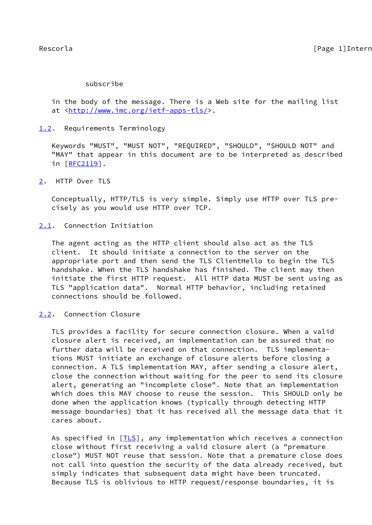# subscribe

 in the body of the message. There is a Web site for the mailing list at <[http://www.imc.org/ietf-apps-tls/>](http://www.imc.org/ietf-apps-tls/).

<span id="page-1-0"></span>[1.2](#page-1-0). Requirements Terminology

 Keywords "MUST", "MUST NOT", "REQUIRED", "SHOULD", "SHOULD NOT" and "MAY" that appear in this document are to be interpreted as described in [[RFC2119\]](https://datatracker.ietf.org/doc/pdf/rfc2119).

<span id="page-1-1"></span>[2](#page-1-1). HTTP Over TLS

 Conceptually, HTTP/TLS is very simple. Simply use HTTP over TLS pre cisely as you would use HTTP over TCP.

<span id="page-1-2"></span>[2.1](#page-1-2). Connection Initiation

 The agent acting as the HTTP client should also act as the TLS client. It should initiate a connection to the server on the appropriate port and then send the TLS ClientHello to begin the TLS handshake. When the TLS handshake has finished. The client may then initiate the first HTTP request. All HTTP data MUST be sent using as TLS "application data". Normal HTTP behavior, including retained connections should be followed.

<span id="page-1-3"></span>[2.2](#page-1-3). Connection Closure

 TLS provides a facility for secure connection closure. When a valid closure alert is received, an implementation can be assured that no further data will be received on that connection. TLS implementa tions MUST initiate an exchange of closure alerts before closing a connection. A TLS implementation MAY, after sending a closure alert, close the connection without waiting for the peer to send its closure alert, generating an "incomplete close". Note that an implementation which does this MAY choose to reuse the session. This SHOULD only be done when the application knows (typically through detecting HTTP message boundaries) that it has received all the message data that it cares about.

As specified in [*TLS*], any implementation which receives a connection close without first receiving a valid closure alert (a "premature close") MUST NOT reuse that session. Note that a premature close does not call into question the security of the data already received, but simply indicates that subsequent data might have been truncated. Because TLS is oblivious to HTTP request/response boundaries, it is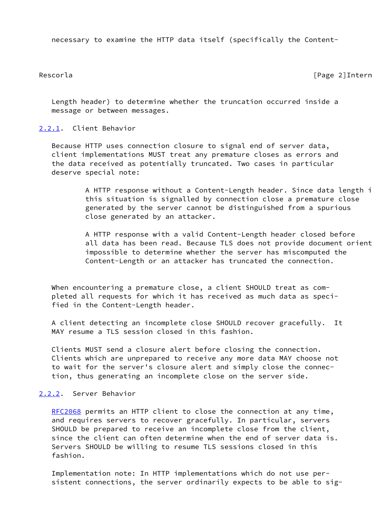necessary to examine the HTTP data itself (specifically the Content-

Rescorla [Page 2]Internet-Draft

 Length header) to determine whether the truncation occurred inside a message or between messages.

# <span id="page-2-0"></span>[2.2.1](#page-2-0). Client Behavior

 Because HTTP uses connection closure to signal end of server data, client implementations MUST treat any premature closes as errors and the data received as potentially truncated. Two cases in particular deserve special note:

> A HTTP response without a Content-Length header. Since data length i this situation is signalled by connection close a premature close generated by the server cannot be distinguished from a spurious close generated by an attacker.

> A HTTP response with a valid Content-Length header closed before all data has been read. Because TLS does not provide document orient impossible to determine whether the server has miscomputed the Content-Length or an attacker has truncated the connection.

When encountering a premature close, a client SHOULD treat as com pleted all requests for which it has received as much data as speci fied in the Content-Length header.

 A client detecting an incomplete close SHOULD recover gracefully. It MAY resume a TLS session closed in this fashion.

 Clients MUST send a closure alert before closing the connection. Clients which are unprepared to receive any more data MAY choose not to wait for the server's closure alert and simply close the connec tion, thus generating an incomplete close on the server side.

# <span id="page-2-1"></span>[2.2.2](#page-2-1). Server Behavior

[RFC2068](https://datatracker.ietf.org/doc/pdf/rfc2068) permits an HTTP client to close the connection at any time, and requires servers to recover gracefully. In particular, servers SHOULD be prepared to receive an incomplete close from the client, since the client can often determine when the end of server data is. Servers SHOULD be willing to resume TLS sessions closed in this fashion.

 Implementation note: In HTTP implementations which do not use per sistent connections, the server ordinarily expects to be able to sig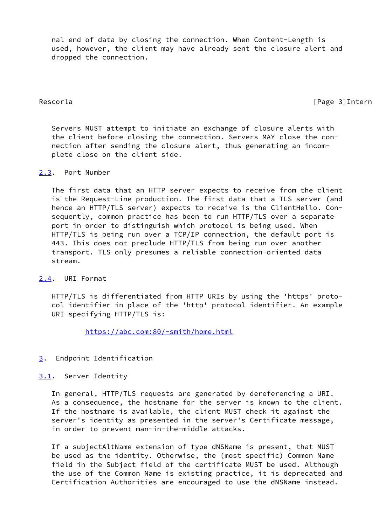nal end of data by closing the connection. When Content-Length is used, however, the client may have already sent the closure alert and dropped the connection.

Rescorla [Page 3]Internet-Draft

 Servers MUST attempt to initiate an exchange of closure alerts with the client before closing the connection. Servers MAY close the con nection after sending the closure alert, thus generating an incom plete close on the client side.

# <span id="page-3-0"></span>[2.3](#page-3-0). Port Number

 The first data that an HTTP server expects to receive from the client is the Request-Line production. The first data that a TLS server (and hence an HTTP/TLS server) expects to receive is the ClientHello. Con sequently, common practice has been to run HTTP/TLS over a separate port in order to distinguish which protocol is being used. When HTTP/TLS is being run over a TCP/IP connection, the default port is 443. This does not preclude HTTP/TLS from being run over another transport. TLS only presumes a reliable connection-oriented data stream.

# <span id="page-3-1"></span>[2.4](#page-3-1). URI Format

 HTTP/TLS is differentiated from HTTP URIs by using the 'https' proto col identifier in place of the 'http' protocol identifier. An example URI specifying HTTP/TLS is:

<https://abc.com:80/~smith/home.html>

### <span id="page-3-2"></span>[3](#page-3-2). Endpoint Identification

### <span id="page-3-3"></span>[3.1](#page-3-3). Server Identity

 In general, HTTP/TLS requests are generated by dereferencing a URI. As a consequence, the hostname for the server is known to the client. If the hostname is available, the client MUST check it against the server's identity as presented in the server's Certificate message, in order to prevent man-in-the-middle attacks.

 If a subjectAltName extension of type dNSName is present, that MUST be used as the identity. Otherwise, the (most specific) Common Name field in the Subject field of the certificate MUST be used. Although the use of the Common Name is existing practice, it is deprecated and Certification Authorities are encouraged to use the dNSName instead.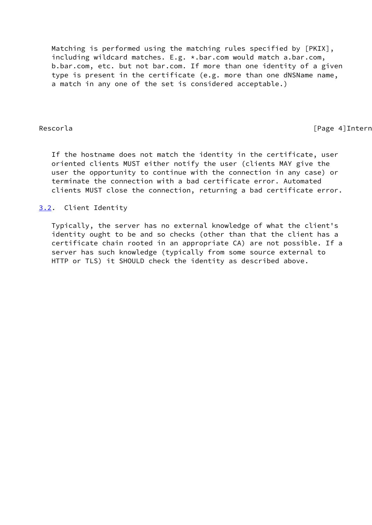Matching is performed using the matching rules specified by [PKIX], including wildcard matches. E.g. \*.bar.com would match a.bar.com, b.bar.com, etc. but not bar.com. If more than one identity of a given type is present in the certificate (e.g. more than one dNSName name, a match in any one of the set is considered acceptable.)

Rescorla **Francisco Community** Rescorla **Community** Page 4]Internet-

 If the hostname does not match the identity in the certificate, user oriented clients MUST either notify the user (clients MAY give the user the opportunity to continue with the connection in any case) or terminate the connection with a bad certificate error. Automated clients MUST close the connection, returning a bad certificate error.

<span id="page-4-0"></span>[3.2](#page-4-0). Client Identity

 Typically, the server has no external knowledge of what the client's identity ought to be and so checks (other than that the client has a certificate chain rooted in an appropriate CA) are not possible. If a server has such knowledge (typically from some source external to HTTP or TLS) it SHOULD check the identity as described above.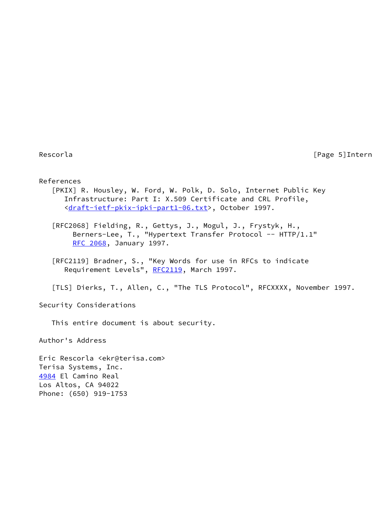Rescorla [Page 5]Internet-Page 2014

### References

 [PKIX] R. Housley, W. Ford, W. Polk, D. Solo, Internet Public Key Infrastructure: Part I: X.509 Certificate and CRL Profile, <[draft-ietf-pkix-ipki-part1-06.txt>](https://datatracker.ietf.org/doc/pdf/draft-ietf-pkix-ipki-part1-06.txt), October 1997.

 [RFC2068] Fielding, R., Gettys, J., Mogul, J., Frystyk, H., Berners-Lee, T., "Hypertext Transfer Protocol -- HTTP/1.1" [RFC 2068](https://datatracker.ietf.org/doc/pdf/rfc2068), January 1997.

 [RFC2119] Bradner, S., "Key Words for use in RFCs to indicate Requirement Levels", [RFC2119](https://datatracker.ietf.org/doc/pdf/rfc2119), March 1997.

<span id="page-5-0"></span>[TLS] Dierks, T., Allen, C., "The TLS Protocol", RFCXXXX, November 1997.

Security Considerations

This entire document is about security.

Author's Address

<span id="page-5-1"></span>Eric Rescorla <ekr@terisa.com> Terisa Systems, Inc. [4984](#page-5-1) El Camino Real Los Altos, CA 94022 Phone: (650) 919-1753